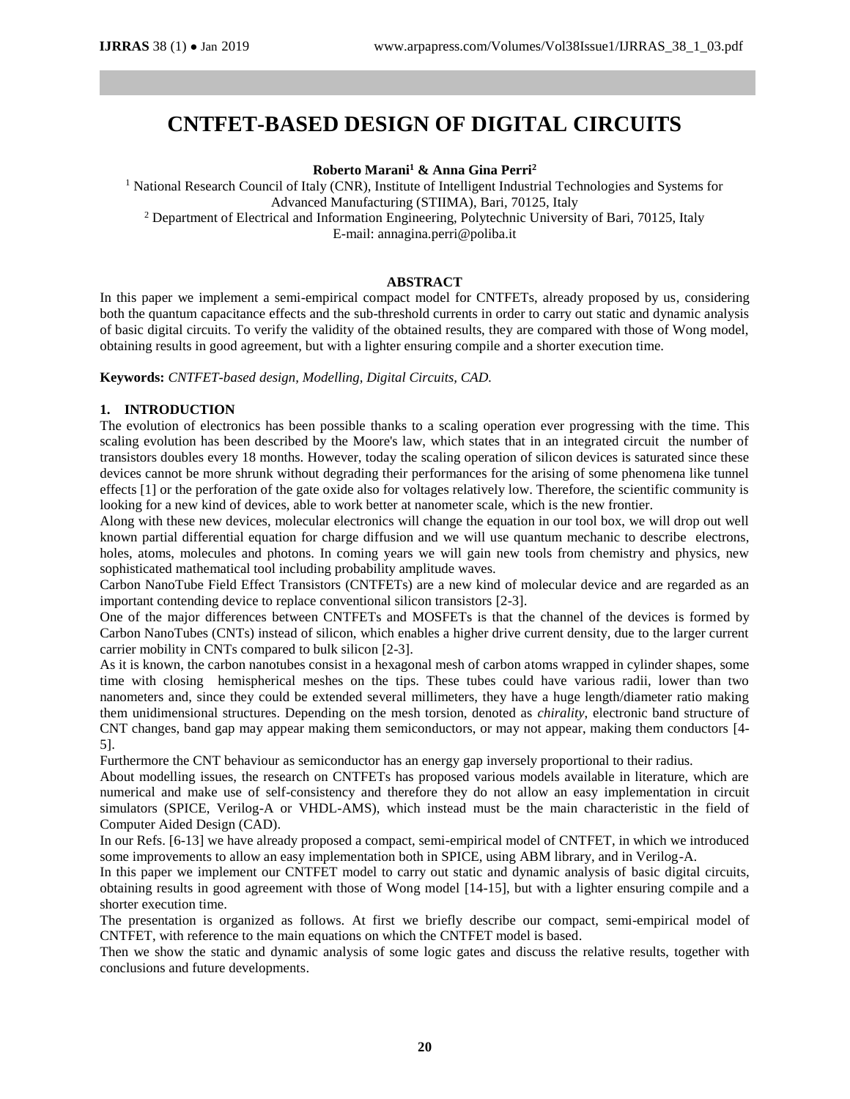# **CNTFET-BASED DESIGN OF DIGITAL CIRCUITS**

# **Roberto Marani<sup>1</sup> & Anna Gina Perri<sup>2</sup>**

<sup>1</sup> National Research Council of Italy (CNR), Institute of Intelligent Industrial Technologies and Systems for Advanced Manufacturing (STIIMA), Bari, 70125, Italy <sup>2</sup> Department of Electrical and Information Engineering, Polytechnic University of Bari, 70125, Italy

E-mail: annagina.perri@poliba.it

# **ABSTRACT**

In this paper we implement a semi-empirical compact model for CNTFETs, already proposed by us, considering both the quantum capacitance effects and the sub-threshold currents in order to carry out static and dynamic analysis of basic digital circuits. To verify the validity of the obtained results, they are compared with those of Wong model, obtaining results in good agreement, but with a lighter ensuring compile and a shorter execution time.

**Keywords:** *CNTFET-based design, Modelling, Digital Circuits, CAD.*

# **1. INTRODUCTION**

The evolution of electronics has been possible thanks to a scaling operation ever progressing with the time. This scaling evolution has been described by the Moore's law, which states that in an integrated circuit the number of transistors doubles every 18 months. However, today the scaling operation of silicon devices is saturated since these devices cannot be more shrunk without degrading their performances for the arising of some phenomena like tunnel effects [1] or the perforation of the gate oxide also for voltages relatively low. Therefore, the scientific community is looking for a new kind of devices, able to work better at nanometer scale, which is the new frontier.

Along with these new devices, molecular electronics will change the equation in our tool box, we will drop out well known partial differential equation for charge diffusion and we will use quantum mechanic to describe electrons, holes, atoms, molecules and photons. In coming years we will gain new tools from chemistry and physics, new sophisticated mathematical tool including probability amplitude waves.

Carbon NanoTube Field Effect Transistors (CNTFETs) are a new kind of molecular device and are regarded as an important contending device to replace conventional silicon transistors [2-3].

One of the major differences between CNTFETs and MOSFETs is that the channel of the devices is formed by Carbon NanoTubes (CNTs) instead of silicon, which enables a higher drive current density, due to the larger current carrier mobility in CNTs compared to bulk silicon [2-3].

As it is known, the carbon nanotubes consist in a hexagonal mesh of carbon atoms wrapped in cylinder shapes, some time with closing hemispherical meshes on the tips. These tubes could have various radii, lower than two nanometers and, since they could be extended several millimeters, they have a huge length/diameter ratio making them unidimensional structures. Depending on the mesh torsion, denoted as *chirality*, electronic band structure of CNT changes, band gap may appear making them semiconductors, or may not appear, making them conductors [4- 5].

Furthermore the CNT behaviour as semiconductor has an energy gap inversely proportional to their radius.

About modelling issues, the research on CNTFETs has proposed various models available in literature, which are numerical and make use of self-consistency and therefore they do not allow an easy implementation in circuit simulators (SPICE, Verilog-A or VHDL-AMS), which instead must be the main characteristic in the field of Computer Aided Design (CAD).

In our Refs. [6-13] we have already proposed a compact, semi-empirical model of CNTFET, in which we introduced some improvements to allow an easy implementation both in SPICE, using ABM library, and in Verilog-A.

In this paper we implement our CNTFET model to carry out static and dynamic analysis of basic digital circuits, obtaining results in good agreement with those of Wong model [14-15], but with a lighter ensuring compile and a shorter execution time.

The presentation is organized as follows. At first we briefly describe our compact, semi-empirical model of CNTFET, with reference to the main equations on which the CNTFET model is based.

Then we show the static and dynamic analysis of some logic gates and discuss the relative results, together with conclusions and future developments.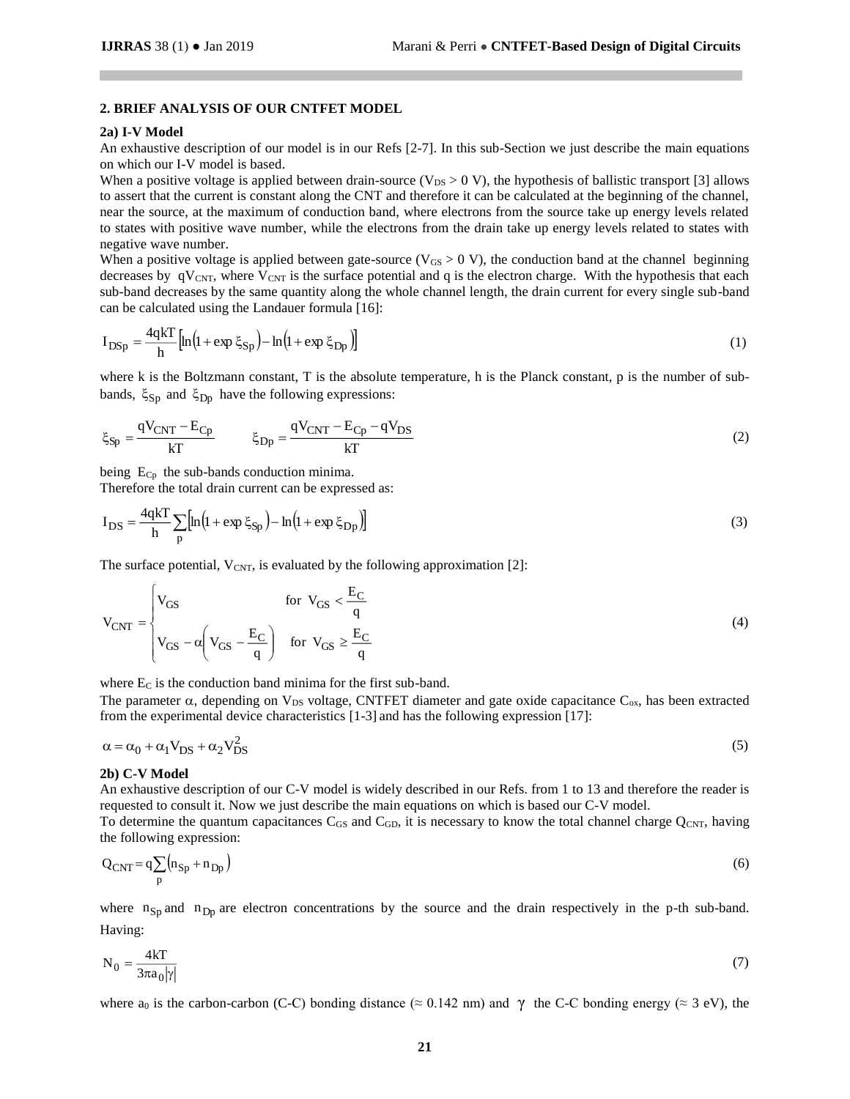## **2. BRIEF ANALYSIS OF OUR CNTFET MODEL**

### **2a) I-V Model**

An exhaustive description of our model is in our Refs [2-7]. In this sub-Section we just describe the main equations on which our I-V model is based.

When a positive voltage is applied between drain-source ( $V_{DS} > 0$  V), the hypothesis of ballistic transport [3] allows to assert that the current is constant along the CNT and therefore it can be calculated at the beginning of the channel, near the source, at the maximum of conduction band, where electrons from the source take up energy levels related to states with positive wave number, while the electrons from the drain take up energy levels related to states with negative wave number.

When a positive voltage is applied between gate-source ( $V_{GS} > 0$  V), the conduction band at the channel beginning decreases by  $qV_{CNT}$ , where  $V_{CNT}$  is the surface potential and q is the electron charge. With the hypothesis that each sub-band decreases by the same quantity along the whole channel length, the drain current for every single sub-band can be calculated using the Landauer formula [16]:

$$
I_{\rm DSp} = \frac{4qkT}{h} \left[ \ln \left( 1 + \exp \xi_{\rm Sp} \right) - \ln \left( 1 + \exp \xi_{\rm Sp} \right) \right] \tag{1}
$$

where k is the Boltzmann constant, T is the absolute temperature, h is the Planck constant, p is the number of subbands,  $\xi_{\text{Sp}}$  and  $\xi_{\text{Dp}}$  have the following expressions:

$$
\xi_{\text{Sp}} = \frac{\text{qV}_{\text{CNT}} - \text{E}_{\text{CP}}}{\text{kT}} \qquad \xi_{\text{Dp}} = \frac{\text{qV}_{\text{CNT}} - \text{E}_{\text{CP}} - \text{qV}_{\text{DS}}}{\text{kT}} \tag{2}
$$

being  $E_{Cp}$  the sub-bands conduction minima.

Therefore the total drain current can be expressed as:

$$
I_{DS} = \frac{4qkT}{h} \sum_{p} \left[ ln\left(1 + exp \xi_{Sp}\right) - ln\left(1 + exp \xi_{Dp}\right) \right]
$$
 (3)

The surface potential,  $V_{\text{CNT}}$ , is evaluated by the following approximation [2]:

$$
V_{CNT} = \begin{cases} V_{GS} & \text{for } V_{GS} < \frac{E_C}{q} \\ V_{GS} - \alpha \left( V_{GS} - \frac{E_C}{q} \right) & \text{for } V_{GS} \ge \frac{E_C}{q} \end{cases}
$$
(4)

where  $E_C$  is the conduction band minima for the first sub-band.

The parameter  $\alpha$ , depending on V<sub>DS</sub> voltage, CNTFET diameter and gate oxide capacitance C<sub>ox</sub>, has been extracted from the experimental device characteristics [1-3] and has the following expression [17]:

$$
\alpha = \alpha_0 + \alpha_1 V_{DS} + \alpha_2 V_{DS}^2 \tag{5}
$$

#### **2b) C-V Model**

An exhaustive description of our C-V model is widely described in our Refs. from 1 to 13 and therefore the reader is requested to consult it. Now we just describe the main equations on which is based our C-V model.

To determine the quantum capacitances  $C_{GS}$  and  $C_{GD}$ , it is necessary to know the total channel charge  $Q_{CNT}$ , having the following expression:

$$
Q_{\text{CNT}} = q \sum_{p} \left( n_{\text{Sp}} + n_{\text{Dp}} \right) \tag{6}
$$

where  $n_{Sp}$  and  $n_{Dp}$  are electron concentrations by the source and the drain respectively in the p-th sub-band. Having:

$$
N_0 = \frac{4kT}{3\pi a_0 |\gamma|} \tag{7}
$$

where a<sub>0</sub> is the carbon-carbon (C-C) bonding distance ( $\approx 0.142$  nm) and  $\gamma$  the C-C bonding energy ( $\approx 3$  eV), the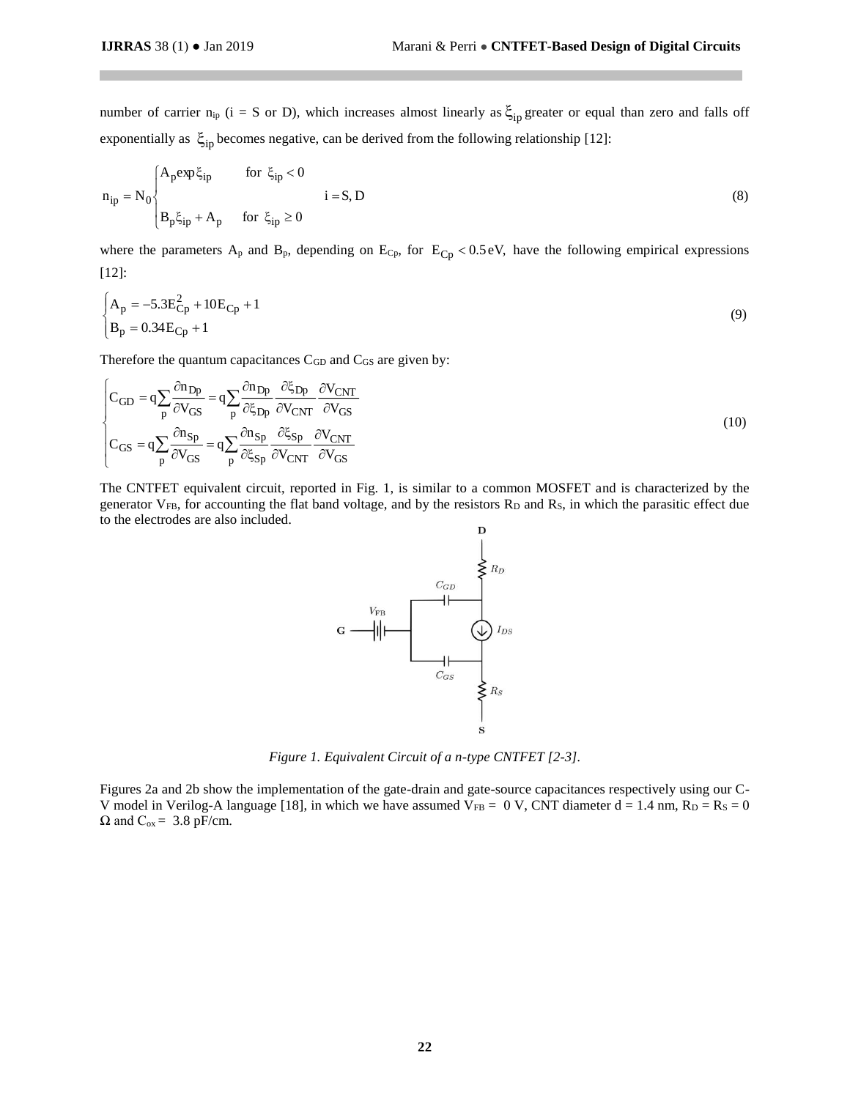number of carrier  $n_{ip}$  (i = S or D), which increases almost linearly as  $\xi_{ip}$  greater or equal than zero and falls off exponentially as  $\xi_{\text{ip}}$  becomes negative, can be derived from the following relationship [12]:

$$
n_{ip} = N_0 \begin{cases} A_p \exp \xi_{ip} & \text{for } \xi_{ip} < 0 \\ B_p \xi_{ip} + A_p & \text{for } \xi_{ip} \ge 0 \end{cases}
$$
 (8)

where the parameters  $A_p$  and  $B_p$ , depending on  $E_{Cp}$ , for  $E_{Cp} < 0.5$  eV, have the following empirical expressions [12]:

$$
\begin{cases} A_p = -5.3E_{Cp}^2 + 10E_{Cp} + 1 \\ B_p = 0.34E_{Cp} + 1 \end{cases}
$$
 (9)

Therefore the quantum capacitances  $C_{GD}$  and  $C_{GS}$  are given by:

$$
\begin{cases}\nC_{GD} = q \sum_{p} \frac{\partial n_{Dp}}{\partial V_{GS}} = q \sum_{p} \frac{\partial n_{Dp}}{\partial \xi_{Dp}} \frac{\partial \xi_{Dp}}{\partial V_{CNT}} \frac{\partial V_{CNT}}{\partial V_{GS}} \\
C_{GS} = q \sum_{p} \frac{\partial n_{Sp}}{\partial V_{GS}} = q \sum_{p} \frac{\partial n_{Sp}}{\partial \xi_{Sp}} \frac{\partial \xi_{Sp}}{\partial V_{CNT}} \frac{\partial V_{CNT}}{\partial V_{GS}}\n\end{cases}
$$
\n(10)

The CNTFET equivalent circuit, reported in Fig. 1, is similar to a common MOSFET and is characterized by the generator  $V_{FB}$ , for accounting the flat band voltage, and by the resistors  $R_D$  and  $R_S$ , in which the parasitic effect due to the electrodes are also included.



*Figure 1. Equivalent Circuit of a n-type CNTFET [2-3].*

 Figures 2a and 2b show the implementation of the gate-drain and gate-source capacitances respectively using our C-V model in Verilog-A language [18], in which we have assumed  $V_{FB} = 0 V$ , CNT diameter d = 1.4 nm,  $R_D = R_S = 0$  $\Omega$  and  $C_{ox} = 3.8$  pF/cm.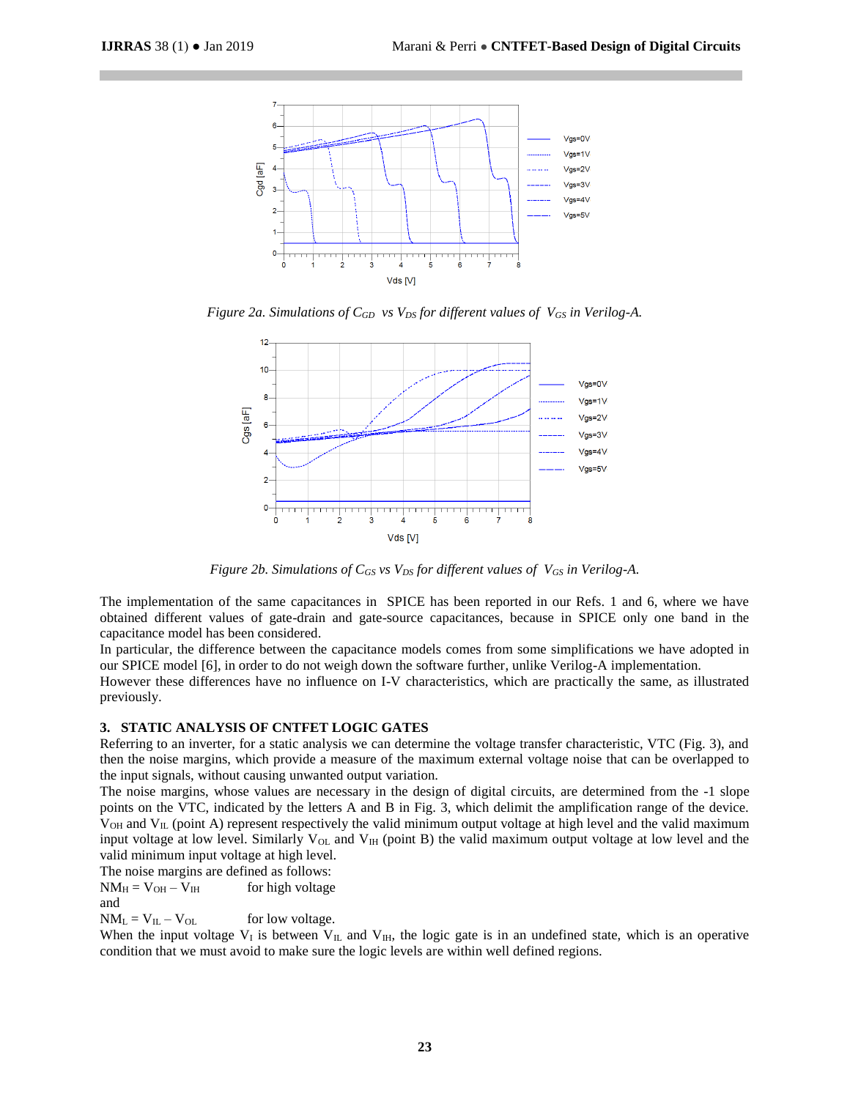

*Figure 2a. Simulations of CGD vs VDS for different values of VGS in Verilog-A.*



*Figure 2b. Simulations of CGS vs VDS for different values of VGS in Verilog-A.*

The implementation of the same capacitances in SPICE has been reported in our Refs. 1 and 6, where we have obtained different values of gate-drain and gate-source capacitances, because in SPICE only one band in the capacitance model has been considered.

In particular, the difference between the capacitance models comes from some simplifications we have adopted in our SPICE model [6], in order to do not weigh down the software further, unlike Verilog-A implementation.

However these differences have no influence on I-V characteristics, which are practically the same, as illustrated previously.

## **3. STATIC ANALYSIS OF CNTFET LOGIC GATES**

Referring to an inverter, for a static analysis we can determine the voltage transfer characteristic, VTC (Fig. 3), and then the noise margins, which provide a measure of the maximum external voltage noise that can be overlapped to the input signals, without causing unwanted output variation.

The noise margins, whose values are necessary in the design of digital circuits, are determined from the -1 slope points on the VTC, indicated by the letters A and B in Fig. 3, which delimit the amplification range of the device.  $V<sub>OH</sub>$  and  $V<sub>IL</sub>$  (point A) represent respectively the valid minimum output voltage at high level and the valid maximum input voltage at low level. Similarly  $V_{OL}$  and  $V_{IH}$  (point B) the valid maximum output voltage at low level and the valid minimum input voltage at high level.

The noise margins are defined as follows:

 $NM_H = V_{OH} - V_{IH}$  for high voltage

and

 $NM_L = V_{IL} - V_{OL}$  for low voltage.

When the input voltage  $V_I$  is between  $V_{II}$ , and  $V_{III}$ , the logic gate is in an undefined state, which is an operative condition that we must avoid to make sure the logic levels are within well defined regions.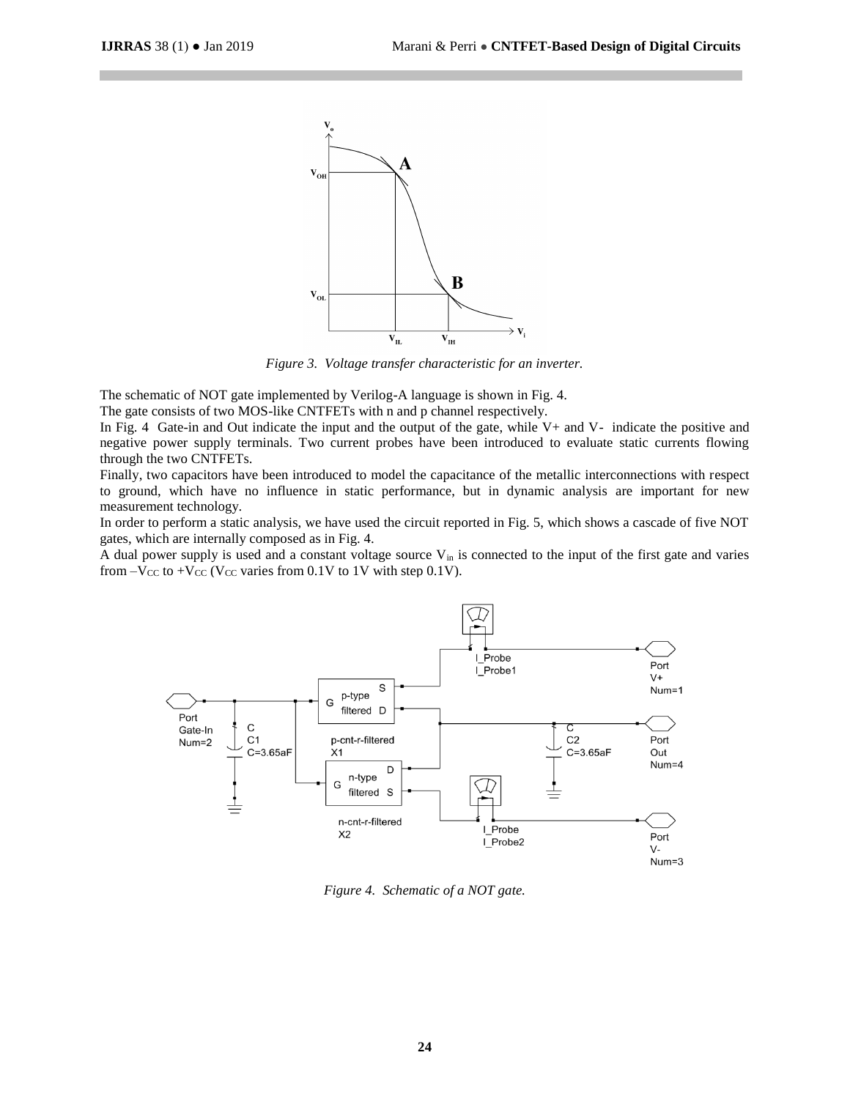

*Figure 3. Voltage transfer characteristic for an inverter.*

The schematic of NOT gate implemented by Verilog-A language is shown in Fig. 4.

The gate consists of two MOS-like CNTFETs with n and p channel respectively.

In Fig. 4 Gate-in and Out indicate the input and the output of the gate, while V+ and V- indicate the positive and negative power supply terminals. Two current probes have been introduced to evaluate static currents flowing through the two CNTFETs.

Finally, two capacitors have been introduced to model the capacitance of the metallic interconnections with respect to ground, which have no influence in static performance, but in dynamic analysis are important for new measurement technology.

In order to perform a static analysis, we have used the circuit reported in Fig. 5, which shows a cascade of five NOT gates, which are internally composed as in Fig. 4.

A dual power supply is used and a constant voltage source  $V_{in}$  is connected to the input of the first gate and varies from  $-V_{CC}$  to  $+V_{CC}$  (V<sub>CC</sub> varies from 0.1V to 1V with step 0.1V).



*Figure 4. Schematic of a NOT gate.*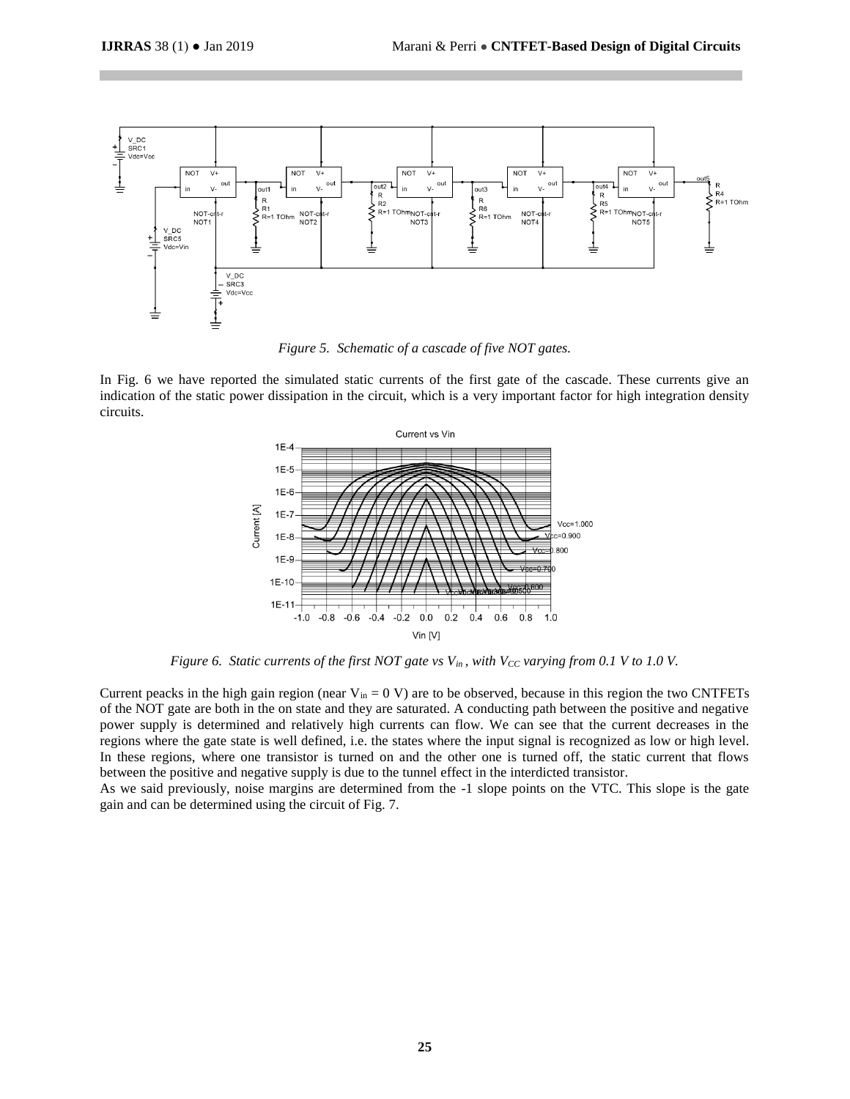

*Figure 5. Schematic of a cascade of five NOT gates.*

In Fig. 6 we have reported the simulated static currents of the first gate of the cascade. These currents give an indication of the static power dissipation in the circuit, which is a very important factor for high integration density circuits.



*Figure 6. Static currents of the first NOT gate vs Vin , with VCC varying from 0.1 V to 1.0 V.*

Current peacks in the high gain region (near  $V_{in} = 0$  V) are to be observed, because in this region the two CNTFETs of the NOT gate are both in the on state and they are saturated. A conducting path between the positive and negative power supply is determined and relatively high currents can flow. We can see that the current decreases in the regions where the gate state is well defined, i.e. the states where the input signal is recognized as low or high level. In these regions, where one transistor is turned on and the other one is turned off, the static current that flows between the positive and negative supply is due to the tunnel effect in the interdicted transistor.

As we said previously, noise margins are determined from the -1 slope points on the VTC. This slope is the gate gain and can be determined using the circuit of Fig. 7.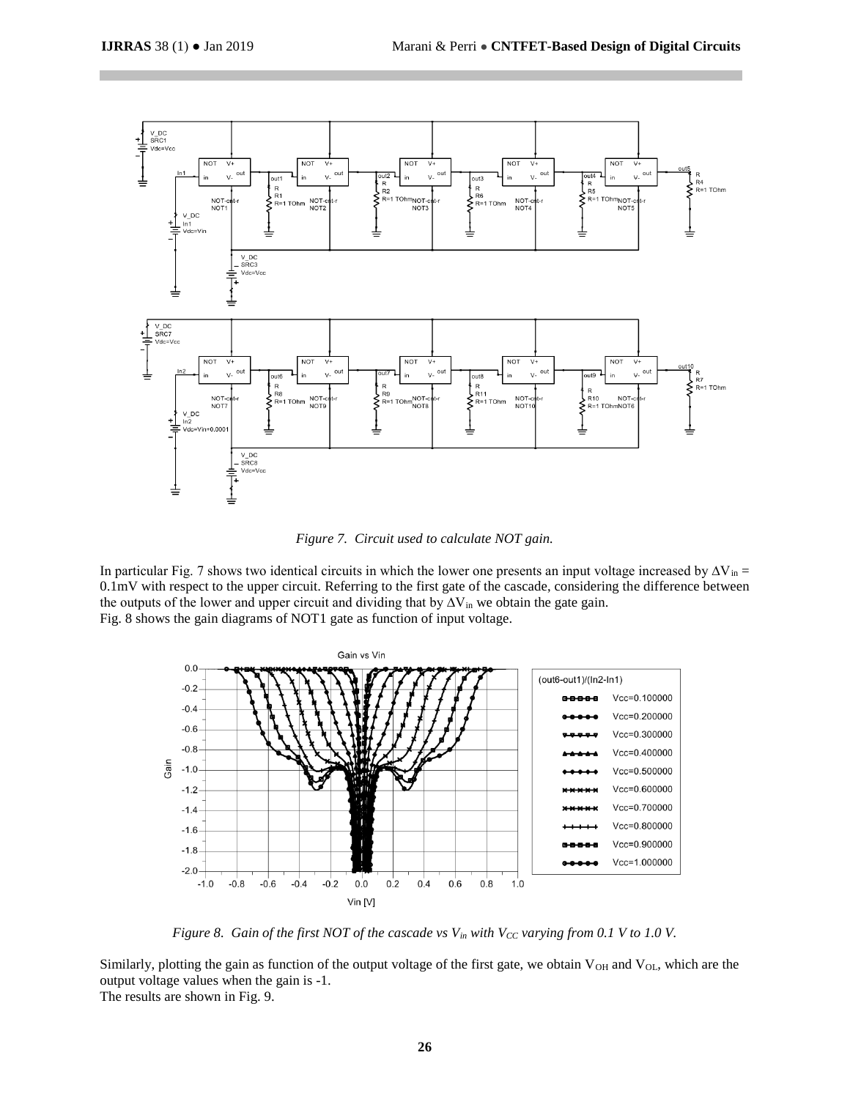

*Figure 7. Circuit used to calculate NOT gain.*

In particular Fig. 7 shows two identical circuits in which the lower one presents an input voltage increased by  $\Delta V_{in}$ 0.1mV with respect to the upper circuit. Referring to the first gate of the cascade, considering the difference between the outputs of the lower and upper circuit and dividing that by  $\Delta V$ <sub>in</sub> we obtain the gate gain. Fig. 8 shows the gain diagrams of NOT1 gate as function of input voltage.



*Figure 8. Gain of the first NOT of the cascade vs Vin with VCC varying from 0.1 V to 1.0 V.*

Similarly, plotting the gain as function of the output voltage of the first gate, we obtain  $V_{OH}$  and  $V_{OL}$ , which are the output voltage values when the gain is -1. The results are shown in Fig. 9.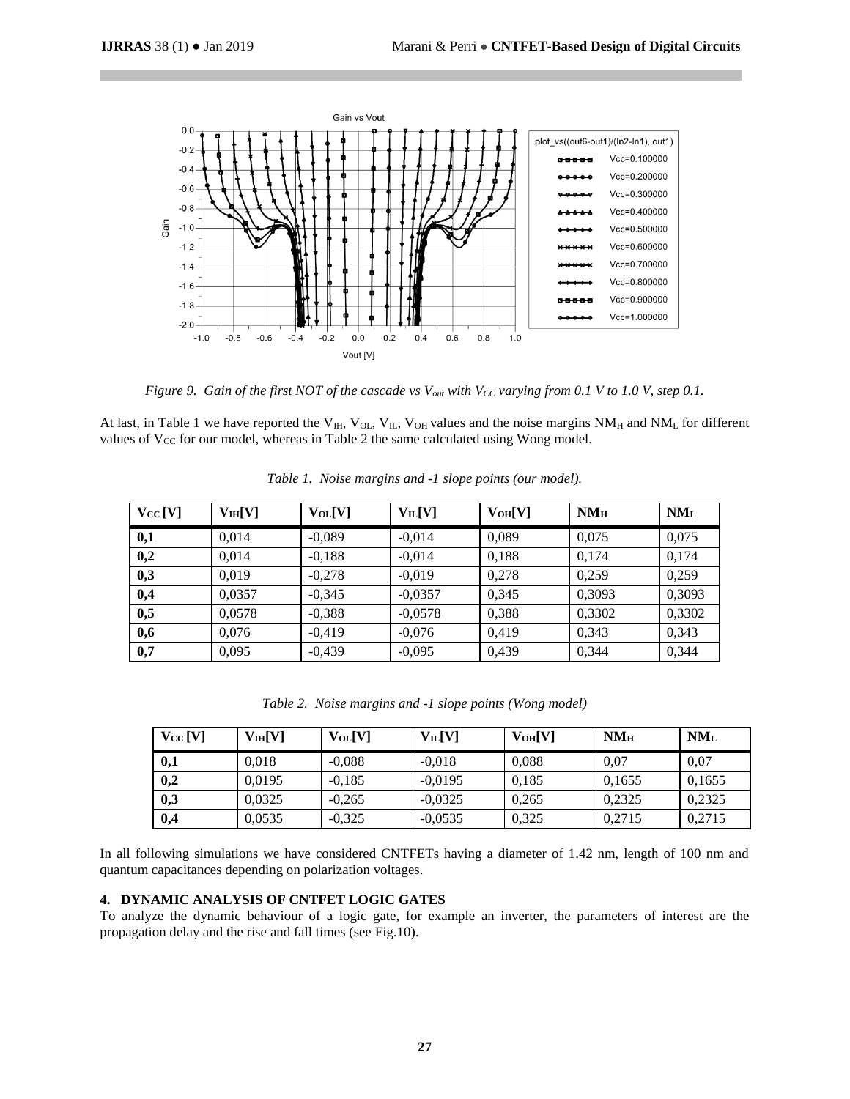

*Figure 9. Gain of the first NOT of the cascade vs Vout with VCC varying from 0.1 V to 1.0 V, step 0.1.*

At last, in Table 1 we have reported the V<sub>IH</sub>, V<sub>OL</sub>, V<sub>IL</sub>, V<sub>OH</sub> values and the noise margins  $NM_H$  and  $NM_L$  for different values of  $V_{CC}$  for our model, whereas in Table 2 the same calculated using Wong model.

| $V_{CC}$ [V] | V <sub>IH</sub> [V] | $V_{OL}[V]$ | $V_{IL}[V]$ | $V_{OH}[V]$ | $NM_{H}$ | $NM_{L}$ |
|--------------|---------------------|-------------|-------------|-------------|----------|----------|
| 0,1          | 0,014               | $-0,089$    | $-0,014$    | 0,089       | 0,075    | 0,075    |
| 0,2          | 0,014               | $-0,188$    | $-0,014$    | 0,188       | 0,174    | 0,174    |
| 0,3          | 0,019               | $-0,278$    | $-0,019$    | 0,278       | 0.259    | 0,259    |
| 0,4          | 0,0357              | $-0,345$    | $-0,0357$   | 0,345       | 0,3093   | 0,3093   |
| 0,5          | 0,0578              | $-0,388$    | $-0,0578$   | 0,388       | 0,3302   | 0,3302   |
| 0,6          | 0,076               | $-0,419$    | $-0,076$    | 0,419       | 0,343    | 0,343    |
| 0,7          | 0,095               | $-0,439$    | $-0,095$    | 0,439       | 0,344    | 0,344    |

|  |  | Table 1. Noise margins and -1 slope points (our model). |  |  |  |  |  |
|--|--|---------------------------------------------------------|--|--|--|--|--|
|--|--|---------------------------------------------------------|--|--|--|--|--|

*Table 2. Noise margins and -1 slope points (Wong model)*

| $V_{CC}$ [V] | V1H[V] | $V_{OL}[V]$ | $V_{IL}[V]$ | V <sub>OH</sub> [V] | NM <sub>H</sub> | $NM_{L}$ |
|--------------|--------|-------------|-------------|---------------------|-----------------|----------|
| 0,1          | 0.018  | $-0.088$    | $-0.018$    | 0.088               | 0.07            | 0.07     |
| 0,2          | 0.0195 | $-0.185$    | $-0.0195$   | 0.185               | 0.1655          | 0.1655   |
| 0,3          | 0.0325 | $-0.265$    | $-0.0325$   | 0.265               | 0.2325          | 0,2325   |
| 0,4          | 0,0535 | $-0,325$    | $-0.0535$   | 0,325               | 0.2715          | 0,2715   |

In all following simulations we have considered CNTFETs having a diameter of 1.42 nm, length of 100 nm and quantum capacitances depending on polarization voltages.

## **4. DYNAMIC ANALYSIS OF CNTFET LOGIC GATES**

To analyze the dynamic behaviour of a logic gate, for example an inverter, the parameters of interest are the propagation delay and the rise and fall times (see Fig.10).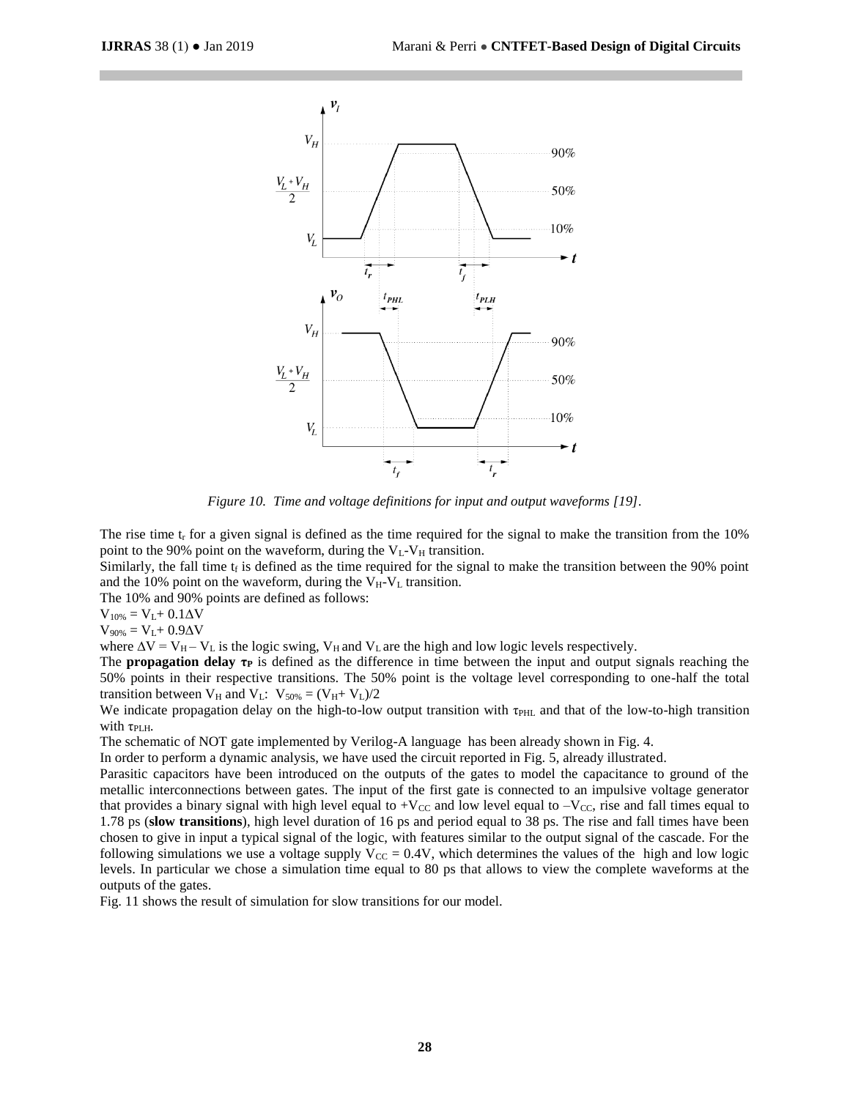

*Figure 10. Time and voltage definitions for input and output waveforms [19].*

The rise time  $t_r$  for a given signal is defined as the time required for the signal to make the transition from the 10% point to the 90% point on the waveform, during the  $V_L$ - $V_H$  transition.

Similarly, the fall time  $t_f$  is defined as the time required for the signal to make the transition between the 90% point and the 10% point on the waveform, during the  $V_H-V_L$  transition.

The 10% and 90% points are defined as follows:

 $V_{10\%} = V_{L} + 0.1 \Delta V$ 

 $V_{90\%} = V_L + 0.9ΔV$ 

where  $\Delta V = V_H - V_L$  is the logic swing,  $V_H$  and  $V_L$  are the high and low logic levels respectively.

The **propagation delay τ<sup>P</sup>** is defined as the difference in time between the input and output signals reaching the 50% points in their respective transitions. The 50% point is the voltage level corresponding to one-half the total transition between  $V_H$  and  $V_L$ :  $V_{50\%} = (V_H + V_L)/2$ 

We indicate propagation delay on the high-to-low output transition with τ<sub>PHL</sub> and that of the low-to-high transition with  $τ<sub>PLH</sub>$ .

The schematic of NOT gate implemented by Verilog-A language has been already shown in Fig. 4.

In order to perform a dynamic analysis, we have used the circuit reported in Fig. 5, already illustrated.

Parasitic capacitors have been introduced on the outputs of the gates to model the capacitance to ground of the metallic interconnections between gates. The input of the first gate is connected to an impulsive voltage generator that provides a binary signal with high level equal to  $+V_{CC}$  and low level equal to  $-V_{CC}$ , rise and fall times equal to 1.78 ps (**slow transitions**), high level duration of 16 ps and period equal to 38 ps. The rise and fall times have been chosen to give in input a typical signal of the logic, with features similar to the output signal of the cascade. For the following simulations we use a voltage supply  $V_{CC} = 0.4V$ , which determines the values of the high and low logic levels. In particular we chose a simulation time equal to 80 ps that allows to view the complete waveforms at the outputs of the gates.

Fig. 11 shows the result of simulation for slow transitions for our model.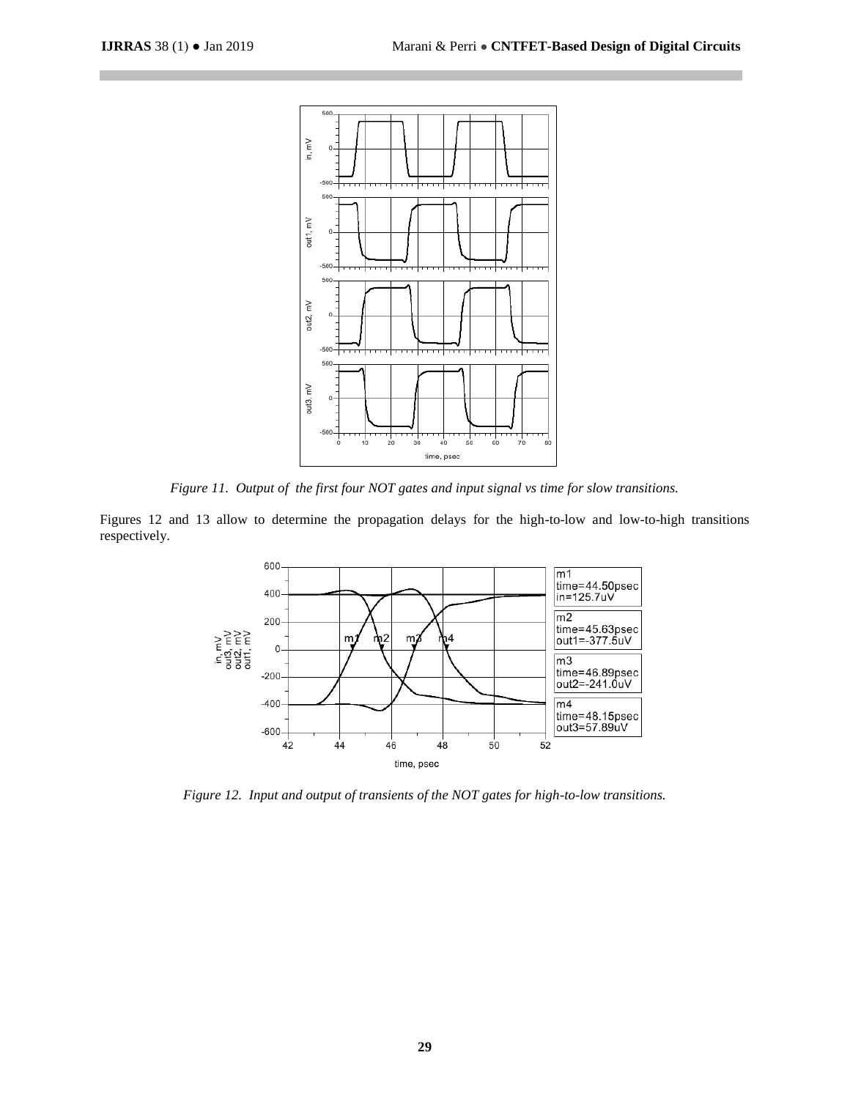

*Figure 11. Output of the first four NOT gates and input signal vs time for slow transitions.*

Figures 12 and 13 allow to determine the propagation delays for the high-to-low and low-to-high transitions respectively.



*Figure 12. Input and output of transients of the NOT gates for high-to-low transitions.*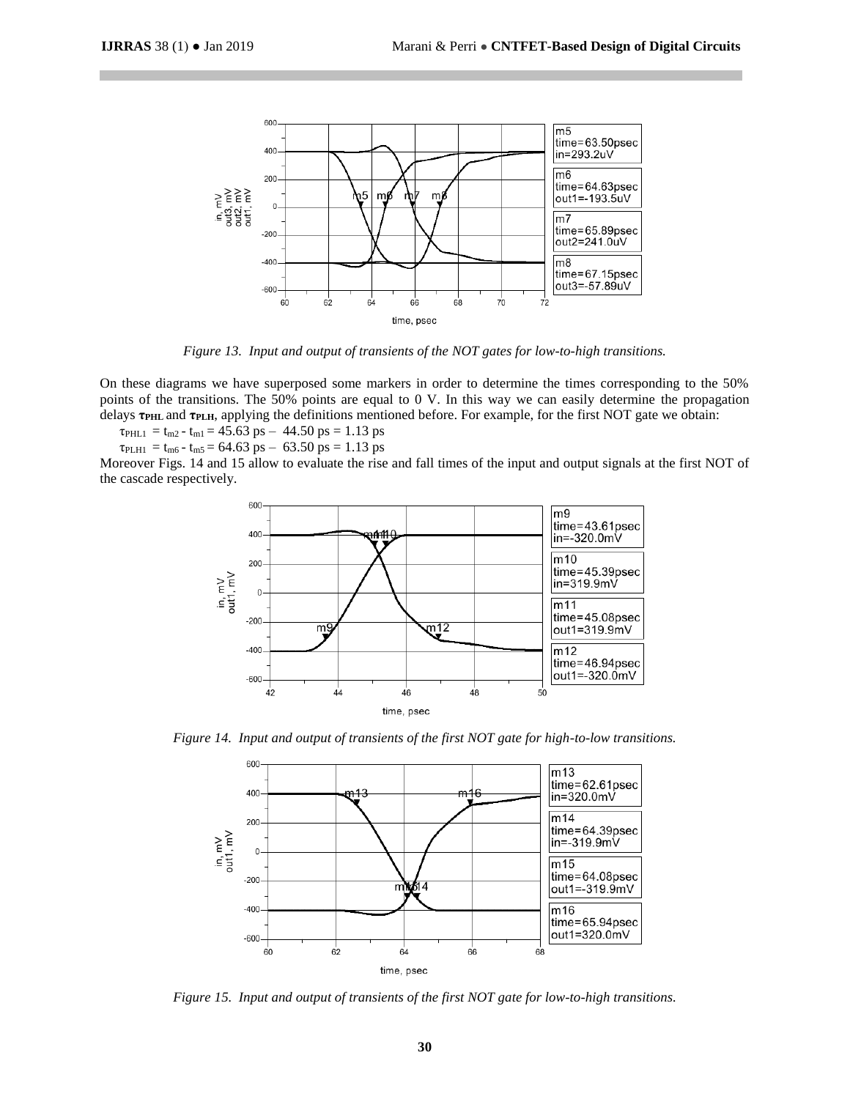

*Figure 13. Input and output of transients of the NOT gates for low-to-high transitions.*

On these diagrams we have superposed some markers in order to determine the times corresponding to the 50% points of the transitions. The 50% points are equal to 0 V. In this way we can easily determine the propagation delays **τPHL** and **τPLH**, applying the definitions mentioned before. For example, for the first NOT gate we obtain:

 $\tau_{\text{PHL1}} = t_{\text{m2}} - t_{\text{m1}} = 45.63 \text{ ps} - 44.50 \text{ ps} = 1.13 \text{ ps}$ 

 $\tau_{\text{PLH1}} = t_{\text{m6}} - t_{\text{m5}} = 64.63 \text{ ps} - 63.50 \text{ ps} = 1.13 \text{ ps}$ 

Moreover Figs. 14 and 15 allow to evaluate the rise and fall times of the input and output signals at the first NOT of the cascade respectively.



*Figure 14. Input and output of transients of the first NOT gate for high-to-low transitions.*



*Figure 15. Input and output of transients of the first NOT gate for low-to-high transitions.*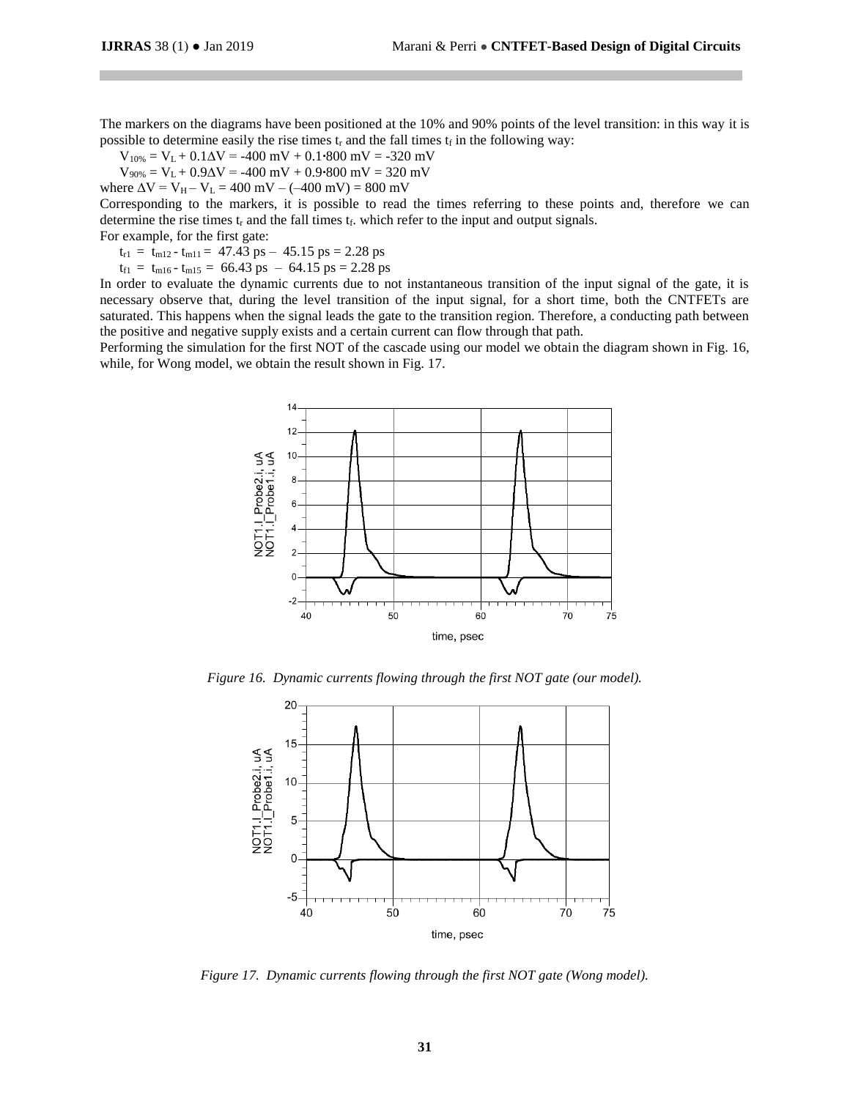The markers on the diagrams have been positioned at the 10% and 90% points of the level transition: in this way it is possible to determine easily the rise times  $t_r$  and the fall times  $t_f$  in the following way:

 $V_{10\%} = V_L + 0.1\Delta V = -400$  mV + 0.1**⋅800** mV = -320 mV

V90% = VL + 0.9∆V = -400 mV + 0.9**∙**800 mV = 320 mV

where  $\Delta V = V_H - V_L = 400$  mV – (–400 mV) = 800 mV

Corresponding to the markers, it is possible to read the times referring to these points and, therefore we can determine the rise times  $t_r$  and the fall times  $t_f$ , which refer to the input and output signals.

For example, for the first gate:

 $t_{r1} = t_{m12} - t_{m11} = 47.43 \text{ ps} - 45.15 \text{ ps} = 2.28 \text{ ps}$ 

 $t_{f1}$  =  $t_{m16}$  -  $t_{m15}$  = 66.43 ps – 64.15 ps = 2.28 ps

In order to evaluate the dynamic currents due to not instantaneous transition of the input signal of the gate, it is necessary observe that, during the level transition of the input signal, for a short time, both the CNTFETs are saturated. This happens when the signal leads the gate to the transition region. Therefore, a conducting path between the positive and negative supply exists and a certain current can flow through that path.

Performing the simulation for the first NOT of the cascade using our model we obtain the diagram shown in Fig. 16, while, for Wong model, we obtain the result shown in Fig. 17.



*Figure 16. Dynamic currents flowing through the first NOT gate (our model).*



*Figure 17. Dynamic currents flowing through the first NOT gate (Wong model).*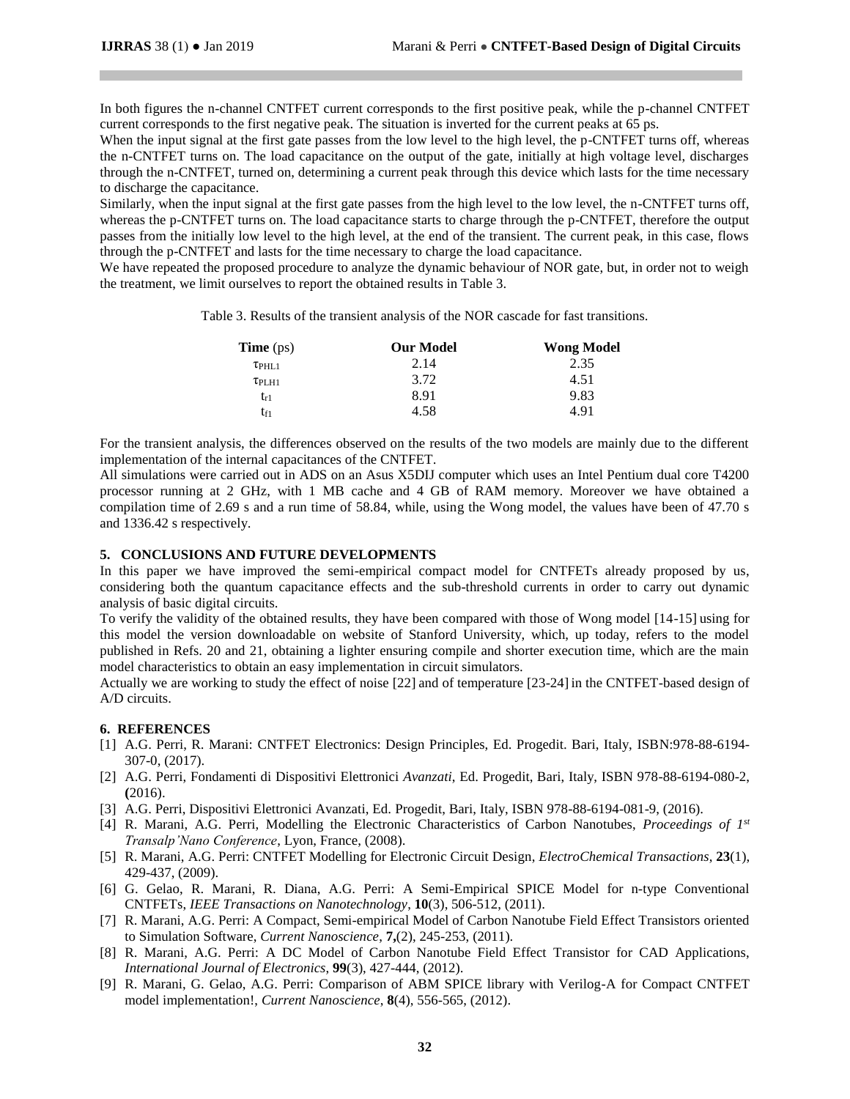In both figures the n-channel CNTFET current corresponds to the first positive peak, while the p-channel CNTFET current corresponds to the first negative peak. The situation is inverted for the current peaks at 65 ps.

When the input signal at the first gate passes from the low level to the high level, the p-CNTFET turns off, whereas the n-CNTFET turns on. The load capacitance on the output of the gate, initially at high voltage level, discharges through the n-CNTFET, turned on, determining a current peak through this device which lasts for the time necessary to discharge the capacitance.

Similarly, when the input signal at the first gate passes from the high level to the low level, the n-CNTFET turns off, whereas the p-CNTFET turns on. The load capacitance starts to charge through the p-CNTFET, therefore the output passes from the initially low level to the high level, at the end of the transient. The current peak, in this case, flows through the p-CNTFET and lasts for the time necessary to charge the load capacitance.

We have repeated the proposed procedure to analyze the dynamic behaviour of NOR gate, but, in order not to weigh the treatment, we limit ourselves to report the obtained results in Table 3.

Table 3. Results of the transient analysis of the NOR cascade for fast transitions.

| <b>Time</b> $(ps)$ | <b>Our Model</b> | <b>Wong Model</b> |
|--------------------|------------------|-------------------|
| $\tau$ PHL1        | 2.14             | 2.35              |
| $\tau$ PLH1        | 3.72             | 4.51              |
| $t_{r1}$           | 8.91             | 9.83              |
| t <sub>f1</sub>    | 4.58             | 4.91              |

For the transient analysis, the differences observed on the results of the two models are mainly due to the different implementation of the internal capacitances of the CNTFET.

All simulations were carried out in ADS on an Asus X5DIJ computer which uses an Intel Pentium dual core T4200 processor running at 2 GHz, with 1 MB cache and 4 GB of RAM memory. Moreover we have obtained a compilation time of 2.69 s and a run time of 58.84, while, using the Wong model, the values have been of 47.70 s and 1336.42 s respectively.

## **5. CONCLUSIONS AND FUTURE DEVELOPMENTS**

In this paper we have improved the semi-empirical compact model for CNTFETs already proposed by us, considering both the quantum capacitance effects and the sub-threshold currents in order to carry out dynamic analysis of basic digital circuits.

To verify the validity of the obtained results, they have been compared with those of Wong model [14-15] using for this model the version downloadable on website of Stanford University, which, up today, refers to the model published in Refs. 20 and 21, obtaining a lighter ensuring compile and shorter execution time, which are the main model characteristics to obtain an easy implementation in circuit simulators.

Actually we are working to study the effect of noise [22] and of temperature [23-24] in the CNTFET-based design of A/D circuits.

## **6. REFERENCES**

- [1] A.G. Perri, R. Marani: CNTFET Electronics: Design Principles, Ed. Progedit. Bari, Italy, ISBN:978-88-6194- 307-0, (2017).
- [2] A.G. Perri, Fondamenti di Dispositivi Elettronici *Avanzati*, Ed. Progedit, Bari, Italy, ISBN 978-88-6194-080-2, **(**2016).
- [3] A.G. Perri, Dispositivi Elettronici Avanzati, Ed. Progedit, Bari, Italy, ISBN 978-88-6194-081-9, (2016).
- [4] R. Marani, A.G. Perri, Modelling the Electronic Characteristics of Carbon Nanotubes, *Proceedings of 1st Transalp'Nano Conference*, Lyon, France, (2008).
- [5] R. Marani, A.G. Perri: CNTFET Modelling for Electronic Circuit Design, *ElectroChemical Transactions*, **23**(1), 429-437, (2009).
- [6] G. Gelao, R. Marani, R. Diana, A.G. Perri: A Semi-Empirical SPICE Model for n-type Conventional CNTFETs, *IEEE Transactions on Nanotechnology*, **10**(3), 506-512, (2011).
- [7] R. Marani, A.G. Perri: A Compact, Semi-empirical Model of Carbon Nanotube Field Effect Transistors oriented to Simulation Software, *Current Nanoscience*, **7,**(2), 245-253, (2011).
- [8] R. Marani, A.G. Perri: A DC Model of Carbon Nanotube Field Effect Transistor for CAD Applications, *International Journal of Electronics*, **99**(3), 427-444, (2012).
- [9] R. Marani, G. Gelao, A.G. Perri: Comparison of ABM SPICE library with Verilog-A for Compact CNTFET model implementation!, *Current Nanoscience*, **8**(4), 556-565, (2012).